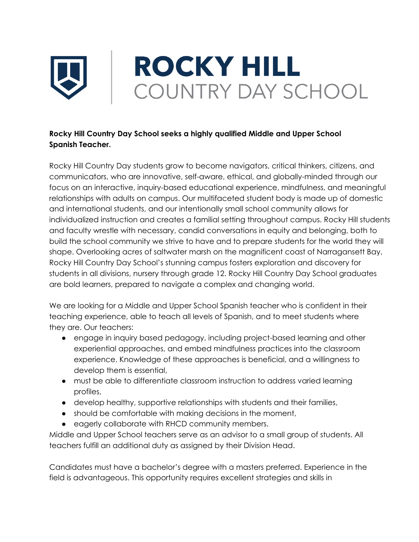

## **Rocky Hill Country Day School seeks a highly qualified Middle and Upper School Spanish Teacher.**

Rocky Hill Country Day students grow to become navigators, critical thinkers, citizens, and communicators, who are innovative, self-aware, ethical, and globally-minded through our focus on an interactive, inquiry-based educational experience, mindfulness, and meaningful relationships with adults on campus. Our multifaceted student body is made up of domestic and international students, and our intentionally small school community allows for individualized instruction and creates a familial setting throughout campus. Rocky Hill students and faculty wrestle with necessary, candid conversations in equity and belonging, both to build the school community we strive to have and to prepare students for the world they will shape. Overlooking acres of saltwater marsh on the magnificent coast of Narragansett Bay, Rocky Hill Country Day School's stunning campus fosters exploration and discovery for students in all divisions, nursery through grade 12. Rocky Hill Country Day School graduates are bold learners, prepared to navigate a complex and changing world.

We are looking for a Middle and Upper School Spanish teacher who is confident in their teaching experience, able to teach all levels of Spanish, and to meet students where they are. Our teachers:

- engage in inquiry based pedagogy, including project-based learning and other experiential approaches, and embed mindfulness practices into the classroom experience. Knowledge of these approaches is beneficial, and a willingness to develop them is essential,
- must be able to differentiate classroom instruction to address varied learning profiles,
- develop healthy, supportive relationships with students and their families,
- should be comfortable with making decisions in the moment,
- eagerly collaborate with RHCD community members.

Middle and Upper School teachers serve as an advisor to a small group of students. All teachers fulfill an additional duty as assigned by their Division Head.

Candidates must have a bachelor's degree with a masters preferred. Experience in the field is advantageous. This opportunity requires excellent strategies and skills in